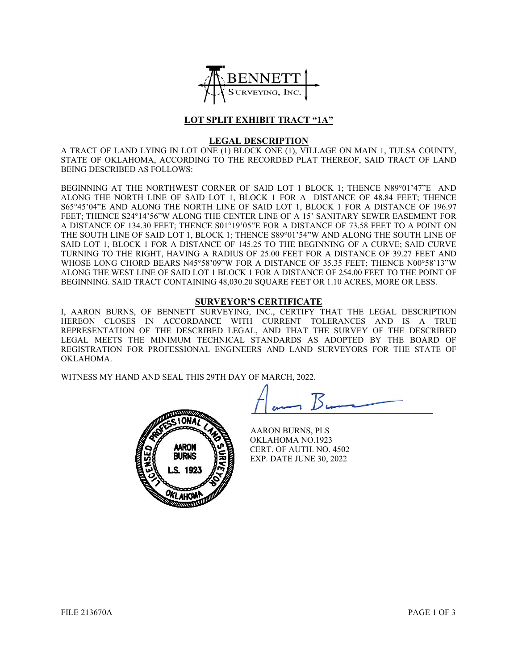

## LOT SPLIT EXHIBIT TRACT "1A"

#### LEGAL DESCRIPTION

A TRACT OF LAND LYING IN LOT ONE (1) BLOCK ONE (1), VILLAGE ON MAIN 1, TULSA COUNTY, STATE OF OKLAHOMA, ACCORDING TO THE RECORDED PLAT THEREOF, SAID TRACT OF LAND BEING DESCRIBED AS FOLLOWS:

BEGINNING AT THE NORTHWEST CORNER OF SAID LOT 1 BLOCK 1; THENCE N89°01'47"E AND ALONG THE NORTH LINE OF SAID LOT 1, BLOCK 1 FOR A DISTANCE OF 48.84 FEET; THENCE S65°45'04"E AND ALONG THE NORTH LINE OF SAID LOT 1, BLOCK 1 FOR A DISTANCE OF 196.97 FEET; THENCE S24°14'56"W ALONG THE CENTER LINE OF A 15' SANITARY SEWER EASEMENT FOR A DISTANCE OF 134.30 FEET; THENCE S01°19'05"E FOR A DISTANCE OF 73.58 FEET TO A POINT ON THE SOUTH LINE OF SAID LOT 1, BLOCK 1; THENCE S89°01'54"W AND ALONG THE SOUTH LINE OF SAID LOT 1, BLOCK 1 FOR A DISTANCE OF 145.25 TO THE BEGINNING OF A CURVE; SAID CURVE TURNING TO THE RIGHT, HAVING A RADIUS OF 25.00 FEET FOR A DISTANCE OF 39.27 FEET AND WHOSE LONG CHORD BEARS N45°58'09"W FOR A DISTANCE OF 35.35 FEET; THENCE N00°58'13"W ALONG THE WEST LINE OF SAID LOT 1 BLOCK 1 FOR A DISTANCE OF 254.00 FEET TO THE POINT OF BEGINNING. SAID TRACT CONTAINING 48,030.20 SOUARE FEET OR 1.10 ACRES, MORE OR LESS.

#### SURVEYOR'S CERTIFICATE

I, AARON BURNS, OF BENNETT SURVEYING, INC., CERTIFY THAT THE LEGAL DESCRIPTION HEREON CLOSES IN ACCORDANCE WITH CURRENT TOLERANCES AND IS A TRUE REPRESENTATION OF THE DESCRIBED LEGAL, AND THAT THE SURVEY OF THE DESCRIBED LEGAL MEETS THE MINIMUM TECHNICAL STANDARDS AS ADOPTED BY THE BOARD OF REGISTRATION FOR PROFESSIONAL ENGINEERS AND LAND SURVEYORS FOR THE STATE OF OKLAHOMA.

WITNESS MY HAND AND SEAL THIS 29TH DAY OF MARCH, 2022.



 AARON BURNS, PLS AARON **NO. EXECUTE OF ALITH NO. ANTUNIES AND SERT.** OF AUTH. NO. 4502 EXP. DATE JUNE 30, 2022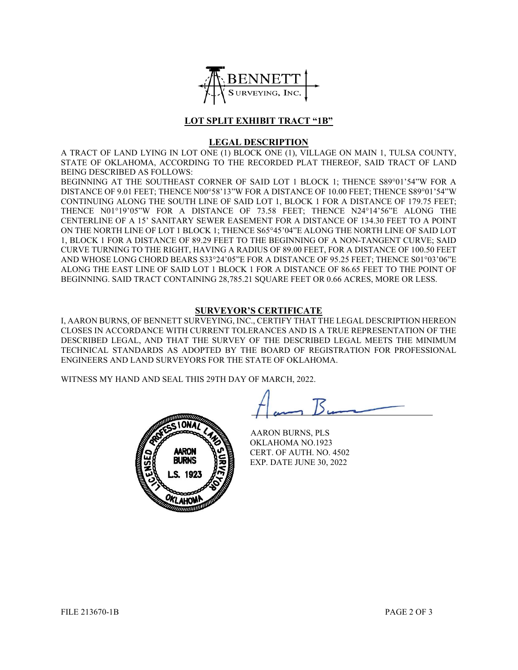

# LOT SPLIT EXHIBIT TRACT "1B"

#### LEGAL DESCRIPTION

A TRACT OF LAND LYING IN LOT ONE (1) BLOCK ONE (1), VILLAGE ON MAIN 1, TULSA COUNTY, STATE OF OKLAHOMA, ACCORDING TO THE RECORDED PLAT THEREOF, SAID TRACT OF LAND BEING DESCRIBED AS FOLLOWS:

BEGINNING AT THE SOUTHEAST CORNER OF SAID LOT 1 BLOCK 1; THENCE S89°01'54"W FOR A DISTANCE OF 9.01 FEET; THENCE N00°58'13"W FOR A DISTANCE OF 10.00 FEET; THENCE S89°01'54"W CONTINUING ALONG THE SOUTH LINE OF SAID LOT 1, BLOCK 1 FOR A DISTANCE OF 179.75 FEET; THENCE N01°19'05"W FOR A DISTANCE OF 73.58 FEET; THENCE N24°14'56"E ALONG THE CENTERLINE OF A 15' SANITARY SEWER EASEMENT FOR A DISTANCE OF 134.30 FEET TO A POINT ON THE NORTH LINE OF LOT 1 BLOCK 1; THENCE S65°45'04"E ALONG THE NORTH LINE OF SAID LOT 1, BLOCK 1 FOR A DISTANCE OF 89.29 FEET TO THE BEGINNING OF A NON-TANGENT CURVE; SAID CURVE TURNING TO THE RIGHT, HAVING A RADIUS OF 89.00 FEET, FOR A DISTANCE OF 100.50 FEET AND WHOSE LONG CHORD BEARS S33°24'05"E FOR A DISTANCE OF 95.25 FEET; THENCE S01°03'06"E ALONG THE EAST LINE OF SAID LOT 1 BLOCK 1 FOR A DISTANCE OF 86.65 FEET TO THE POINT OF BEGINNING. SAID TRACT CONTAINING 28,785.21 SOUARE FEET OR 0.66 ACRES, MORE OR LESS.

### SURVEYOR'S CERTIFICATE

I, AARON BURNS, OF BENNETT SURVEYING, INC., CERTIFY THAT THE LEGAL DESCRIPTION HEREON CLOSES IN ACCORDANCE WITH CURRENT TOLERANCES AND IS A TRUE REPRESENTATION OF THE DESCRIBED LEGAL, AND THAT THE SURVEY OF THE DESCRIBED LEGAL MEETS THE MINIMUM TECHNICAL STANDARDS AS ADOPTED BY THE BOARD OF REGISTRATION FOR PROFESSIONAL ENGINEERS AND LAND SURVEYORS FOR THE STATE OF OKLAHOMA.

WITNESS MY HAND AND SEAL THIS 29TH DAY OF MARCH, 2022.



 AARON BURNS, PLS OKLAHOMA NO.1923 **AARON DUEL** CERT. OF AUTH. NO. 4502 EXP. DATE JUNE 30, 2022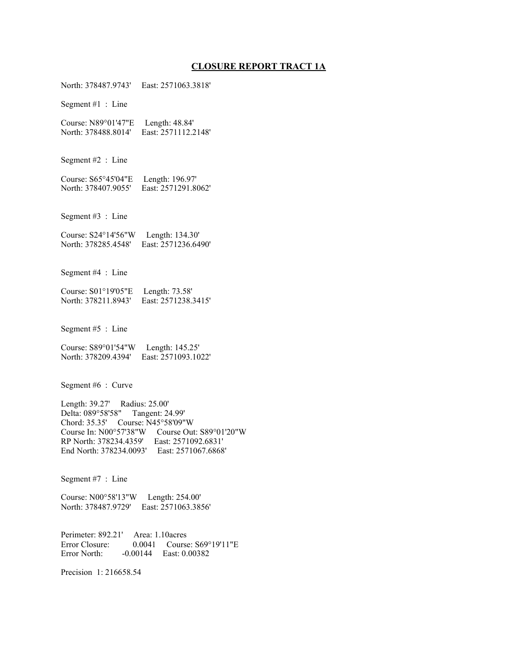# CLOSURE REPORT TRACT 1A

| North: 378487.9743' East: 2571063.3818'                                                                                                                                                                                                                |                                        |
|--------------------------------------------------------------------------------------------------------------------------------------------------------------------------------------------------------------------------------------------------------|----------------------------------------|
| Segment $#1$ : Line                                                                                                                                                                                                                                    |                                        |
| Course: N89°01'47"E Length: 48.84'<br>North: 378488.8014'                                                                                                                                                                                              | East: 2571112.2148'                    |
| Segment #2 : Line                                                                                                                                                                                                                                      |                                        |
| Course: S65°45'04"E<br>North: 378407.9055'                                                                                                                                                                                                             | Length: 196.97'<br>East: 2571291.8062' |
| Segment #3 : Line                                                                                                                                                                                                                                      |                                        |
| Course: S24°14'56"W Length: 134.30"<br>North: 378285.4548'                                                                                                                                                                                             | East: 2571236.6490'                    |
| Segment #4 : Line                                                                                                                                                                                                                                      |                                        |
| Course: S01°19'05"E Length: 73.58'<br>North: 378211.8943'                                                                                                                                                                                              | East: 2571238.3415'                    |
| Segment #5 : Line                                                                                                                                                                                                                                      |                                        |
| Course: S89°01'54"W Length: 145.25'<br>North: 378209.4394'                                                                                                                                                                                             | East: 2571093.1022'                    |
| Segment #6 : Curve                                                                                                                                                                                                                                     |                                        |
| Length: 39.27' Radius: 25.00'<br>Delta: 089°58'58" Tangent: 24.99'<br>Chord: 35.35' Course: N45°58'09"W<br>Course In: N00°57'38"W Course Out: S89°01'20"W<br>RP North: 378234.4359' East: 2571092.6831'<br>End North: 378234.0093' East: 2571067.6868' |                                        |
| Segment #7 : Line                                                                                                                                                                                                                                      |                                        |
| Course: N00°58'13"W Length: 254.00'<br>North: 378487.9729' East: 2571063.3856'                                                                                                                                                                         |                                        |
| Perimeter: 892.21' Area: 1.10acres<br>Error Closure: $0.0041$ Course: S69°19'11"E<br>Error North: -0.00144    East: 0.00382                                                                                                                            |                                        |
| Precision $1.21665854$                                                                                                                                                                                                                                 |                                        |

Precision 1: 216658.54